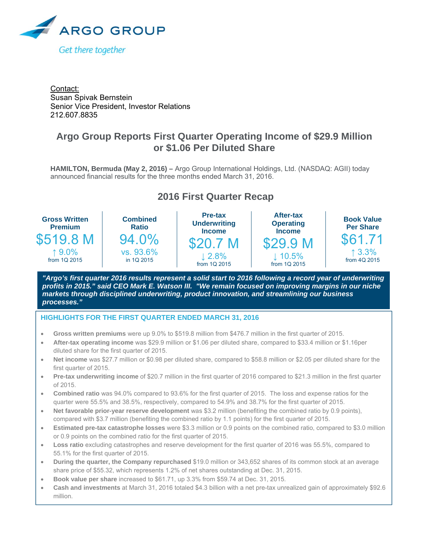

Contact: Susan Spivak Bernstein Senior Vice President, Investor Relations 212.607.8835

# **Argo Group Reports First Quarter Operating Income of \$29.9 Million or \$1.06 Per Diluted Share**

**HAMILTON, Bermuda (May 2, 2016) –** Argo Group International Holdings, Ltd. (NASDAQ: AGII) today announced financial results for the three months ended March 31, 2016.

# **2016 First Quarter Recap**



*"Argo's first quarter 2016 results represent a solid start to 2016 following a record year of underwriting profits in 2015." said CEO Mark E. Watson III. "We remain focused on improving margins in our niche markets through disciplined underwriting, product innovation, and streamlining our business processes."* 

#### İ **HIGHLIGHTS FOR THE FIRST QUARTER ENDED MARCH 31, 2016**

- **Gross written premiums** were up 9.0% to \$519.8 million from \$476.7 million in the first quarter of 2015.
- **After-tax operating income** was \$29.9 million or \$1.06 per diluted share, compared to \$33.4 million or \$1.16per diluted share for the first quarter of 2015.
- **Net income** was \$27.7 million or \$0.98 per diluted share, compared to \$58.8 million or \$2.05 per diluted share for the first quarter of 2015.
- **Pre-tax underwriting income** of \$20.7 million in the first quarter of 2016 compared to \$21.3 million in the first quarter of 2015.
- **Combined ratio** was 94.0% compared to 93.6% for the first quarter of 2015. The loss and expense ratios for the quarter were 55.5% and 38.5%, respectively, compared to 54.9% and 38.7% for the first quarter of 2015.
- **Net favorable prior-year reserve development** was \$3.2 million (benefiting the combined ratio by 0.9 points), compared with \$3.7 million (benefiting the combined ratio by 1.1 points) for the first quarter of 2015.
- **Estimated pre-tax catastrophe losses** were \$3.3 million or 0.9 points on the combined ratio, compared to \$3.0 million or 0.9 points on the combined ratio for the first quarter of 2015.
- **Loss ratio** excluding catastrophes and reserve development for the first quarter of 2016 was 55.5%, compared to 55.1% for the first quarter of 2015.
- **During the quarter, the Company repurchased** \$19.0 million or 343,652 shares of its common stock at an average share price of \$55.32, which represents 1.2% of net shares outstanding at Dec. 31, 2015.
- **Book value per share** increased to \$61.71, up 3.3% from \$59.74 at Dec. 31, 2015.
- **Cash and investments** at March 31, 2016 totaled \$4.3 billion with a net pre-tax unrealized gain of approximately \$92.6 million.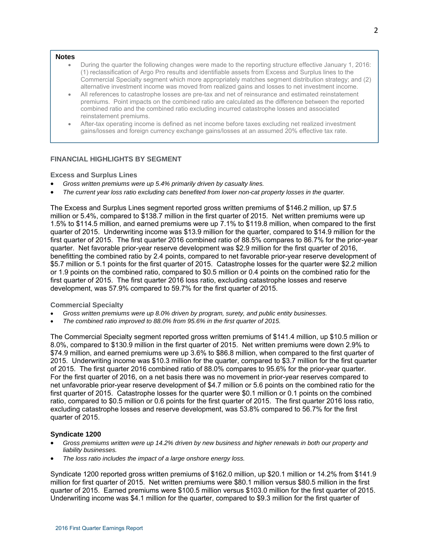#### **Notes**

- During the quarter the following changes were made to the reporting structure effective January 1, 2016: (1) reclassification of Argo Pro results and identifiable assets from Excess and Surplus lines to the Commercial Specialty segment which more appropriately matches segment distribution strategy; and (2) alternative investment income was moved from realized gains and losses to net investment income.
- All references to catastrophe losses are pre-tax and net of reinsurance and estimated reinstatement premiums. Point impacts on the combined ratio are calculated as the difference between the reported combined ratio and the combined ratio excluding incurred catastrophe losses and associated reinstatement premiums.
- After-tax operating income is defined as net income before taxes excluding net realized investment gains/losses and foreign currency exchange gains/losses at an assumed 20% effective tax rate.

### **FINANCIAL HIGHLIGHTS BY SEGMENT**

#### **Excess and Surplus Lines**

- *Gross written premiums were up 5.4% primarily driven by casualty lines.*
- *The current year loss ratio excluding cats benefited from lower non-cat property losses in the quarter.*

The Excess and Surplus Lines segment reported gross written premiums of \$146.2 million, up \$7.5 million or 5.4%, compared to \$138.7 million in the first quarter of 2015. Net written premiums were up 1.5% to \$114.5 million, and earned premiums were up 7.1% to \$119.8 million, when compared to the first quarter of 2015. Underwriting income was \$13.9 million for the quarter, compared to \$14.9 million for the first quarter of 2015. The first quarter 2016 combined ratio of 88.5% compares to 86.7% for the prior-year quarter. Net favorable prior-year reserve development was \$2.9 million for the first quarter of 2016, benefitting the combined ratio by 2.4 points, compared to net favorable prior-year reserve development of \$5.7 million or 5.1 points for the first quarter of 2015. Catastrophe losses for the quarter were \$2.2 million or 1.9 points on the combined ratio, compared to \$0.5 million or 0.4 points on the combined ratio for the first quarter of 2015. The first quarter 2016 loss ratio, excluding catastrophe losses and reserve development, was 57.9% compared to 59.7% for the first quarter of 2015.

#### **Commercial Specialty**

- *Gross written premiums were up 8.0% driven by program, surety, and public entity businesses.*
- *The combined ratio improved to 88.0% from 95.6% in the first quarter of 2015.*

The Commercial Specialty segment reported gross written premiums of \$141.4 million, up \$10.5 million or 8.0%, compared to \$130.9 million in the first quarter of 2015. Net written premiums were down 2.9% to \$74.9 million, and earned premiums were up 3.6% to \$86.8 million, when compared to the first quarter of 2015. Underwriting income was \$10.3 million for the quarter, compared to \$3.7 million for the first quarter of 2015. The first quarter 2016 combined ratio of 88.0% compares to 95.6% for the prior-year quarter. For the first quarter of 2016, on a net basis there was no movement in prior-year reserves compared to net unfavorable prior-year reserve development of \$4.7 million or 5.6 points on the combined ratio for the first quarter of 2015. Catastrophe losses for the quarter were \$0.1 million or 0.1 points on the combined ratio, compared to \$0.5 million or 0.6 points for the first quarter of 2015. The first quarter 2016 loss ratio, excluding catastrophe losses and reserve development, was 53.8% compared to 56.7% for the first quarter of 2015.

### **Syndicate 1200**

- *Gross premiums written were up 14.2% driven by new business and higher renewals in both our property and liability businesses.*
- *The loss ratio includes the impact of a large onshore energy loss.*

Syndicate 1200 reported gross written premiums of \$162.0 million, up \$20.1 million or 14.2% from \$141.9 million for first quarter of 2015. Net written premiums were \$80.1 million versus \$80.5 million in the first quarter of 2015. Earned premiums were \$100.5 million versus \$103.0 million for the first quarter of 2015. Underwriting income was \$4.1 million for the quarter, compared to \$9.3 million for the first quarter of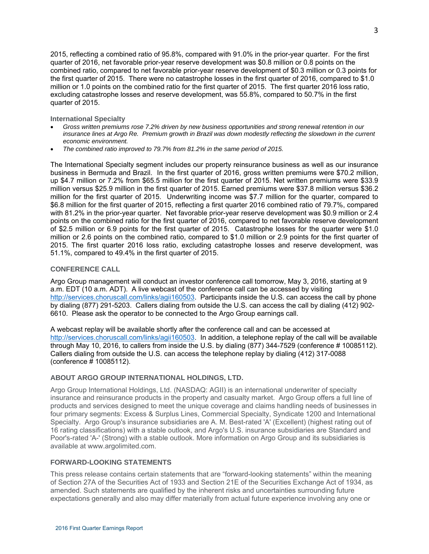2015, reflecting a combined ratio of 95.8%, compared with 91.0% in the prior-year quarter. For the first quarter of 2016, net favorable prior-year reserve development was \$0.8 million or 0.8 points on the combined ratio, compared to net favorable prior-year reserve development of \$0.3 million or 0.3 points for the first quarter of 2015. There were no catastrophe losses in the first quarter of 2016, compared to \$1.0 million or 1.0 points on the combined ratio for the first quarter of 2015. The first quarter 2016 loss ratio, excluding catastrophe losses and reserve development, was 55.8%, compared to 50.7% in the first quarter of 2015.

**International Specialty** 

- *Gross written premiums rose 7.2% driven by new business opportunities and strong renewal retention in our*  insurance lines at Argo Re. Premium growth in Brazil was down modestly reflecting the slowdown in the current *economic environment.*
- *The combined ratio improved to 79.7% from 81.2% in the same period of 2015.*

The International Specialty segment includes our property reinsurance business as well as our insurance business in Bermuda and Brazil. In the first quarter of 2016, gross written premiums were \$70.2 million, up \$4.7 million or 7.2% from \$65.5 million for the first quarter of 2015. Net written premiums were \$33.9 million versus \$25.9 million in the first quarter of 2015. Earned premiums were \$37.8 million versus \$36.2 million for the first quarter of 2015. Underwriting income was \$7.7 million for the quarter, compared to \$6.8 million for the first quarter of 2015, reflecting a first quarter 2016 combined ratio of 79.7%, compared with 81.2% in the prior-year quarter. Net favorable prior-year reserve development was \$0.9 million or 2.4 points on the combined ratio for the first quarter of 2016, compared to net favorable reserve development of \$2.5 million or 6.9 points for the first quarter of 2015. Catastrophe losses for the quarter were \$1.0 million or 2.6 points on the combined ratio, compared to \$1.0 million or 2.9 points for the first quarter of 2015. The first quarter 2016 loss ratio, excluding catastrophe losses and reserve development, was 51.1%, compared to 49.4% in the first quarter of 2015.

### **CONFERENCE CALL**

Argo Group management will conduct an investor conference call tomorrow, May 3, 2016, starting at 9 a.m. EDT (10 a.m. ADT). A live webcast of the conference call can be accessed by visiting http://services.choruscall.com/links/agii160503. Participants inside the U.S. can access the call by phone by dialing (877) 291-5203. Callers dialing from outside the U.S. can access the call by dialing (412) 902- 6610. Please ask the operator to be connected to the Argo Group earnings call.

A webcast replay will be available shortly after the conference call and can be accessed at http://services.choruscall.com/links/agii160503. In addition, a telephone replay of the call will be available through May 10, 2016, to callers from inside the U.S. by dialing (877) 344-7529 (conference # 10085112). Callers dialing from outside the U.S. can access the telephone replay by dialing (412) 317-0088 (conference # 10085112).

## **ABOUT ARGO GROUP INTERNATIONAL HOLDINGS, LTD.**

Argo Group International Holdings, Ltd. (NASDAQ: AGII) is an international underwriter of specialty insurance and reinsurance products in the property and casualty market. Argo Group offers a full line of products and services designed to meet the unique coverage and claims handling needs of businesses in four primary segments: Excess & Surplus Lines, Commercial Specialty, Syndicate 1200 and International Specialty. Argo Group's insurance subsidiaries are A. M. Best-rated 'A' (Excellent) (highest rating out of 16 rating classifications) with a stable outlook, and Argo's U.S. insurance subsidiaries are Standard and Poor's-rated 'A-' (Strong) with a stable outlook. More information on Argo Group and its subsidiaries is available at www.argolimited.com.

## **FORWARD-LOOKING STATEMENTS**

This press release contains certain statements that are "forward-looking statements" within the meaning of Section 27A of the Securities Act of 1933 and Section 21E of the Securities Exchange Act of 1934, as amended. Such statements are qualified by the inherent risks and uncertainties surrounding future expectations generally and also may differ materially from actual future experience involving any one or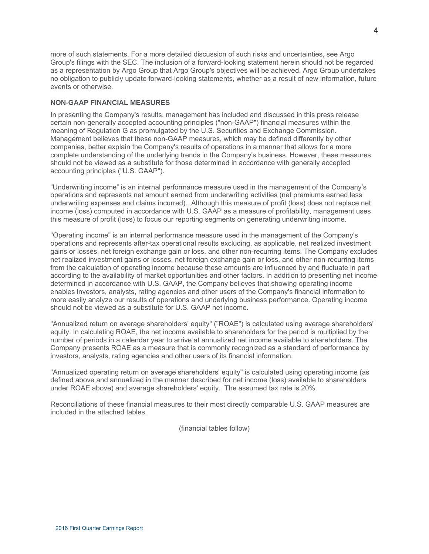more of such statements. For a more detailed discussion of such risks and uncertainties, see Argo Group's filings with the SEC. The inclusion of a forward-looking statement herein should not be regarded as a representation by Argo Group that Argo Group's objectives will be achieved. Argo Group undertakes no obligation to publicly update forward-looking statements, whether as a result of new information, future events or otherwise.

### **NON-GAAP FINANCIAL MEASURES**

In presenting the Company's results, management has included and discussed in this press release certain non-generally accepted accounting principles ("non-GAAP") financial measures within the meaning of Regulation G as promulgated by the U.S. Securities and Exchange Commission. Management believes that these non-GAAP measures, which may be defined differently by other companies, better explain the Company's results of operations in a manner that allows for a more complete understanding of the underlying trends in the Company's business. However, these measures should not be viewed as a substitute for those determined in accordance with generally accepted accounting principles ("U.S. GAAP").

"Underwriting income" is an internal performance measure used in the management of the Company's operations and represents net amount earned from underwriting activities (net premiums earned less underwriting expenses and claims incurred). Although this measure of profit (loss) does not replace net income (loss) computed in accordance with U.S. GAAP as a measure of profitability, management uses this measure of profit (loss) to focus our reporting segments on generating underwriting income.

"Operating income" is an internal performance measure used in the management of the Company's operations and represents after-tax operational results excluding, as applicable, net realized investment gains or losses, net foreign exchange gain or loss, and other non-recurring items. The Company excludes net realized investment gains or losses, net foreign exchange gain or loss, and other non-recurring items from the calculation of operating income because these amounts are influenced by and fluctuate in part according to the availability of market opportunities and other factors. In addition to presenting net income determined in accordance with U.S. GAAP, the Company believes that showing operating income enables investors, analysts, rating agencies and other users of the Company's financial information to more easily analyze our results of operations and underlying business performance. Operating income should not be viewed as a substitute for U.S. GAAP net income.

"Annualized return on average shareholders' equity" ("ROAE") is calculated using average shareholders' equity. In calculating ROAE, the net income available to shareholders for the period is multiplied by the number of periods in a calendar year to arrive at annualized net income available to shareholders. The Company presents ROAE as a measure that is commonly recognized as a standard of performance by investors, analysts, rating agencies and other users of its financial information.

"Annualized operating return on average shareholders' equity" is calculated using operating income (as defined above and annualized in the manner described for net income (loss) available to shareholders under ROAE above) and average shareholders' equity. The assumed tax rate is 20%.

Reconciliations of these financial measures to their most directly comparable U.S. GAAP measures are included in the attached tables.

(financial tables follow)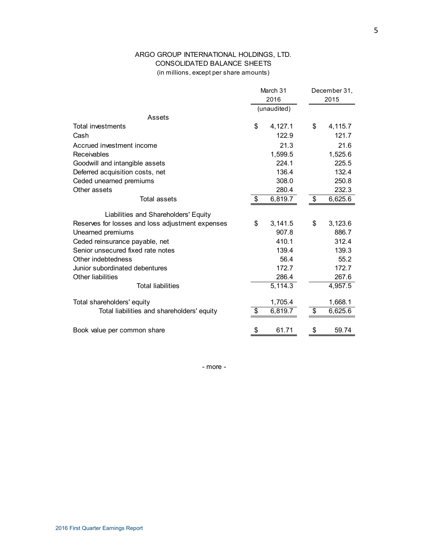# ARGO GROUP INTERNATIONAL HOLDINGS, LTD. CONSOLIDATED BALANCE SHEETS (in millions, except per share amounts)

|                                                  | March 31             | December 31, |         |  |
|--------------------------------------------------|----------------------|--------------|---------|--|
|                                                  | 2016                 |              | 2015    |  |
|                                                  | (unaudited)          |              |         |  |
| Assets                                           |                      |              |         |  |
| <b>Total investments</b>                         | \$<br>4,127.1        | \$           | 4,115.7 |  |
| Cash                                             | 122.9                |              | 121.7   |  |
| Accrued investment income                        | 21.3                 |              | 21.6    |  |
| Receivables                                      | 1,599.5              |              | 1,525.6 |  |
| Goodwill and intangible assets                   | 224.1                |              | 225.5   |  |
| Deferred acquisition costs, net                  | 136.4                |              | 132.4   |  |
| Ceded unearned premiums                          | 308.0                |              | 250.8   |  |
| Other assets                                     | 280.4                |              | 232.3   |  |
| Total assets                                     | \$<br>6,819.7        | \$           | 6,625.6 |  |
| Liabilities and Shareholders' Equity             |                      |              |         |  |
| Reserves for losses and loss adjustment expenses | \$<br>3,141.5        | \$           | 3,123.6 |  |
| Unearned premiums                                | 907.8                |              | 886.7   |  |
| Ceded reinsurance payable, net                   | 410.1                |              | 312.4   |  |
| Senior unsecured fixed rate notes                | 139.4                |              | 139.3   |  |
| Other indebtedness                               | 56.4                 |              | 55.2    |  |
| Junior subordinated debentures                   | 172.7                |              | 172.7   |  |
| Other liabilities                                | 286.4                |              | 267.6   |  |
| <b>Total liabilities</b>                         | $\overline{5,114.3}$ |              | 4,957.5 |  |
| Total shareholders' equity                       | 1,705.4              |              | 1,668.1 |  |
| Total liabilities and shareholders' equity       | \$<br>6,819.7        | \$           | 6,625.6 |  |
| Book value per common share                      | \$<br>61.71          | \$           | 59.74   |  |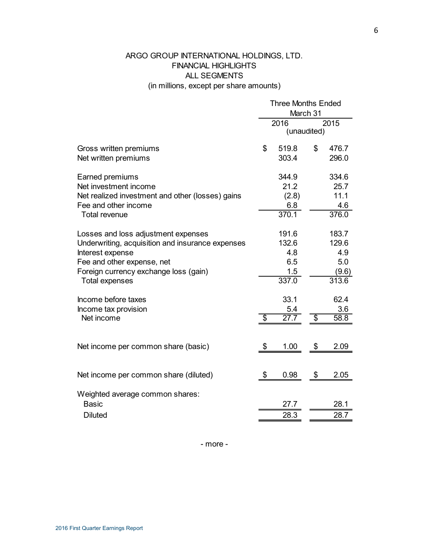# ARGO GROUP INTERNATIONAL HOLDINGS, LTD. FINANCIAL HIGHLIGHTS ALL SEGMENTS (in millions, except per share amounts)

|                                                                                                                                                                                                             | <b>Three Months Ended</b><br>March 31 |                                              |    |                                                |  |  |
|-------------------------------------------------------------------------------------------------------------------------------------------------------------------------------------------------------------|---------------------------------------|----------------------------------------------|----|------------------------------------------------|--|--|
|                                                                                                                                                                                                             | 2016<br>2015<br>(unaudited)           |                                              |    |                                                |  |  |
| Gross written premiums<br>Net written premiums                                                                                                                                                              | \$                                    | 519.8<br>303.4                               | \$ | 476.7<br>296.0                                 |  |  |
| Earned premiums<br>Net investment income<br>Net realized investment and other (losses) gains<br>Fee and other income<br><b>Total revenue</b>                                                                |                                       | 344.9<br>21.2<br>(2.8)<br>6.8<br>370.1       |    | 334.6<br>25.7<br>11.1<br>4.6<br>376.0          |  |  |
| Losses and loss adjustment expenses<br>Underwriting, acquisition and insurance expenses<br>Interest expense<br>Fee and other expense, net<br>Foreign currency exchange loss (gain)<br><b>Total expenses</b> |                                       | 191.6<br>132.6<br>4.8<br>6.5<br>1.5<br>337.0 |    | 183.7<br>129.6<br>4.9<br>5.0<br>(9.6)<br>313.6 |  |  |
| Income before taxes<br>Income tax provision<br>Net income                                                                                                                                                   | $\overline{\mathcal{S}}$              | 33.1<br>5.4<br>$\overline{27.7}$             | \$ | 62.4<br>3.6<br>58.8                            |  |  |
| Net income per common share (basic)                                                                                                                                                                         | \$                                    | 1.00                                         | \$ | 2.09                                           |  |  |
| Net income per common share (diluted)                                                                                                                                                                       | \$                                    | 0.98                                         | \$ | 2.05                                           |  |  |
| Weighted average common shares:<br><b>Basic</b><br><b>Diluted</b>                                                                                                                                           |                                       | 27.7<br>28.3                                 |    | 28.1<br>28.7                                   |  |  |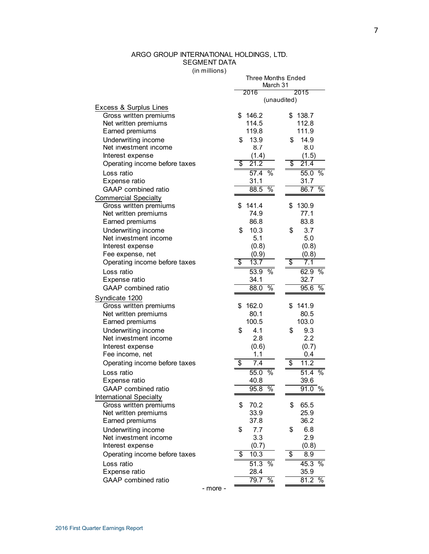# ARGO GROUP INTERNATIONAL HOLDINGS, LTD. SEGMENT DATA

(in millions)

Three Months Ended

|                                                | March 31                      |                               |  |  |
|------------------------------------------------|-------------------------------|-------------------------------|--|--|
|                                                | 2016                          | 2015                          |  |  |
|                                                | (unaudited)                   |                               |  |  |
| <b>Excess &amp; Surplus Lines</b>              |                               |                               |  |  |
| Gross written premiums                         | 146.2<br>\$                   | \$138.7                       |  |  |
| Net written premiums                           | 114.5<br>119.8                | 112.8                         |  |  |
| Earned premiums                                |                               | 111.9                         |  |  |
| Underwriting income<br>Net investment income   | 13.9<br>\$<br>8.7             | 14.9<br>\$                    |  |  |
|                                                | (1.4)                         | 8.0                           |  |  |
| Interest expense                               | \$<br>21.2                    | (1.5)<br>\$<br>21.4           |  |  |
| Operating income before taxes                  |                               |                               |  |  |
| Loss ratio                                     | 57.4<br>$\frac{0}{6}$         | 55.0 %                        |  |  |
| Expense ratio                                  | 31.1                          | 31.7                          |  |  |
| <b>GAAP</b> combined ratio                     | 88.5<br>$\%$                  | $\overline{\%}$<br>86.7       |  |  |
| <b>Commercial Specialty</b>                    |                               |                               |  |  |
| Gross written premiums                         | \$<br>141.4                   | 130.9<br>\$                   |  |  |
| Net written premiums                           | 74.9                          | 77.1                          |  |  |
| Earned premiums                                | 86.8                          | 83.8                          |  |  |
| Underwriting income                            | 10.3<br>\$                    | 3.7<br>\$                     |  |  |
| Net investment income                          | 5.1                           | 5.0                           |  |  |
| Interest expense<br>Fee expense, net           | (0.8)                         | (0.8)<br>(0.8)                |  |  |
| Operating income before taxes                  | (0.9)<br>\$<br>13.7           | \$<br>7.1                     |  |  |
|                                                |                               |                               |  |  |
| Loss ratio                                     | 53.9<br>$\%$                  | 62.9<br>$\%$<br>32.7          |  |  |
| Expense ratio<br><b>GAAP</b> combined ratio    | 34.1<br>$\%$                  | $\frac{1}{2}$                 |  |  |
|                                                | 88.0                          | 95.6                          |  |  |
| Syndicate 1200                                 |                               |                               |  |  |
| Gross written premiums                         | 162.0<br>\$                   | 141.9<br>\$                   |  |  |
| Net written premiums                           | 80.1                          | 80.5                          |  |  |
| Earned premiums                                | 100.5                         | 103.0                         |  |  |
| Underwriting income                            | 4.1<br>\$                     | 9.3<br>\$                     |  |  |
| Net investment income                          | 2.8                           | 2.2                           |  |  |
| Interest expense<br>Fee income, net            | (0.6)<br>1.1                  | (0.7)<br>0.4                  |  |  |
|                                                | \$<br>7.4                     | \$<br>11.2                    |  |  |
| Operating income before taxes                  |                               |                               |  |  |
| Loss ratio                                     | 55.0<br>$\%$                  | 51.4<br>$\%$                  |  |  |
| Expense ratio<br><b>GAAP</b> combined ratio    | 40.8                          | 39.6                          |  |  |
|                                                | $\%$<br>95.8                  | 91.0%                         |  |  |
| <b>International Specialty</b>                 | \$                            | \$                            |  |  |
| Gross written premiums<br>Net written premiums | 70.2<br>33.9                  | 65.5<br>25.9                  |  |  |
| Earned premiums                                | 37.8                          | 36.2                          |  |  |
|                                                | 7.7                           | 6.8                           |  |  |
| Underwriting income<br>Net investment income   | \$<br>3.3                     | \$<br>2.9                     |  |  |
| Interest expense                               | (0.7)                         | (0.8)                         |  |  |
| Operating income before taxes                  | \$<br>10.3                    | \$<br>8.9                     |  |  |
|                                                |                               |                               |  |  |
| Loss ratio                                     | 51.3<br>$\frac{1}{6}$<br>28.4 | 45.3<br>$\frac{1}{6}$<br>35.9 |  |  |
| Expense ratio<br>GAAP combined ratio           | $\%$<br>79.7                  | 81.2<br>$\frac{1}{2}$         |  |  |
|                                                |                               |                               |  |  |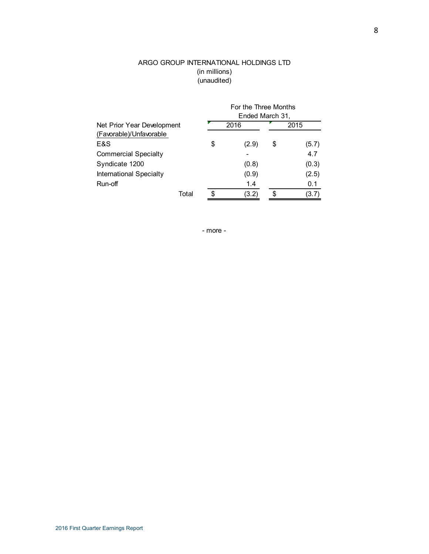# ARGO GROUP INTERNATIONAL HOLDINGS LTD (in millions) (unaudited)

|                                |     | For the Three Months<br>Ended March 31, |      |       |  |  |
|--------------------------------|-----|-----------------------------------------|------|-------|--|--|
| Net Prior Year Development     |     | 2016                                    | 2015 |       |  |  |
| (Favorable)/Unfavorable        |     |                                         |      |       |  |  |
| E&S                            | \$  | (2.9)                                   | \$   | (5.7) |  |  |
| <b>Commercial Specialty</b>    |     |                                         |      | 4.7   |  |  |
| Syndicate 1200                 |     | (0.8)                                   |      | (0.3) |  |  |
| <b>International Specialty</b> |     | (0.9)                                   |      | (2.5) |  |  |
| Run-off                        |     | 1.4                                     |      | 0.1   |  |  |
| Total                          | \$. | (3.2)                                   |      | (3.7) |  |  |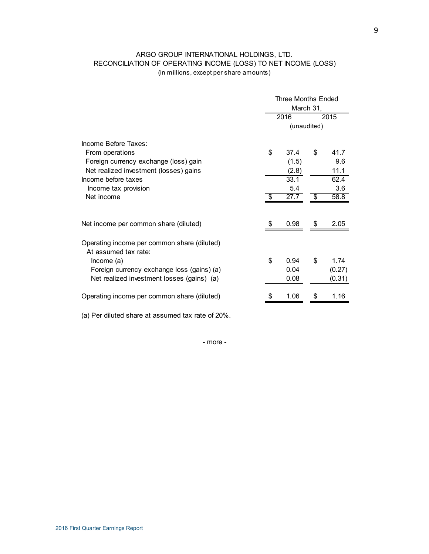# ARGO GROUP INTERNATIONAL HOLDINGS, LTD. RECONCILIATION OF OPERATING INCOME (LOSS) TO NET INCOME (LOSS) (in millions, except per share amounts)

|                                                                     | <b>Three Months Ended</b> |             |      |        |  |  |
|---------------------------------------------------------------------|---------------------------|-------------|------|--------|--|--|
|                                                                     |                           | March 31,   |      |        |  |  |
|                                                                     |                           | 2016        | 2015 |        |  |  |
|                                                                     |                           | (unaudited) |      |        |  |  |
| Income Before Taxes:                                                |                           |             |      |        |  |  |
| From operations                                                     | \$                        | 37.4        | \$   | 41.7   |  |  |
| Foreign currency exchange (loss) gain                               |                           | (1.5)       |      | 9.6    |  |  |
| Net realized investment (losses) gains                              |                           | (2.8)       |      | 11.1   |  |  |
| Income before taxes                                                 |                           | 33.1        |      | 62.4   |  |  |
| Income tax provision                                                |                           | 5.4         |      | 3.6    |  |  |
| Net income                                                          | \$                        | 27.7        | \$   | 58.8   |  |  |
| Net income per common share (diluted)                               | \$                        | 0.98        | \$   | 2.05   |  |  |
| Operating income per common share (diluted)<br>At assumed tax rate: |                           |             |      |        |  |  |
| lncome(a)                                                           | \$                        | 0.94        | \$   | 1.74   |  |  |
| Foreign currency exchange loss (gains) (a)                          |                           | 0.04        |      | (0.27) |  |  |
| Net realized investment losses (gains) (a)                          |                           | 0.08        |      | (0.31) |  |  |
| Operating income per common share (diluted)                         |                           | 1.06        | S    | 1.16   |  |  |
|                                                                     |                           |             |      |        |  |  |

(a) Per diluted share at assumed tax rate of 20%.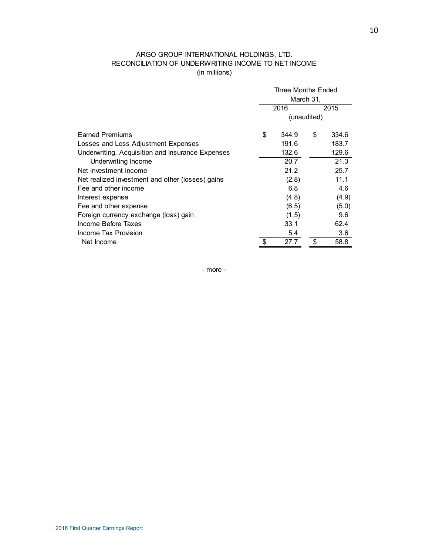# ARGO GROUP INTERNATIONAL HOLDINGS, LTD. RECONCILIATION OF UNDERWRITING INCOME TO NET INCOME (in millions)

|                                                  | Three Months Ended |       |    |       |  |
|--------------------------------------------------|--------------------|-------|----|-------|--|
|                                                  | March 31,          |       |    |       |  |
|                                                  | 2016<br>2015       |       |    |       |  |
|                                                  | (unaudited)        |       |    |       |  |
| <b>Earned Premiums</b>                           | \$                 | 344.9 | \$ | 334.6 |  |
| Losses and Loss Adjustment Expenses              |                    | 191.6 |    | 183.7 |  |
| Underwriting, Acquisition and Insurance Expenses |                    | 132.6 |    | 129.6 |  |
| Underwriting Income                              |                    | 20.7  |    | 21.3  |  |
| Net investment income                            |                    | 21.2  |    | 25.7  |  |
| Net realized investment and other (losses) gains |                    | (2.8) |    | 11.1  |  |
| Fee and other income                             |                    | 6.8   |    | 4.6   |  |
| Interest expense                                 |                    | (4.8) |    | (4.9) |  |
| Fee and other expense                            |                    | (6.5) |    | (5.0) |  |
| Foreign currency exchange (loss) gain            |                    | (1.5) |    | 9.6   |  |
| Income Before Taxes                              |                    | 33.1  |    | 62.4  |  |
| Income Tax Provision                             |                    | 5.4   |    | 3.6   |  |
| Net Income                                       | \$                 | 27.7  |    | 58.8  |  |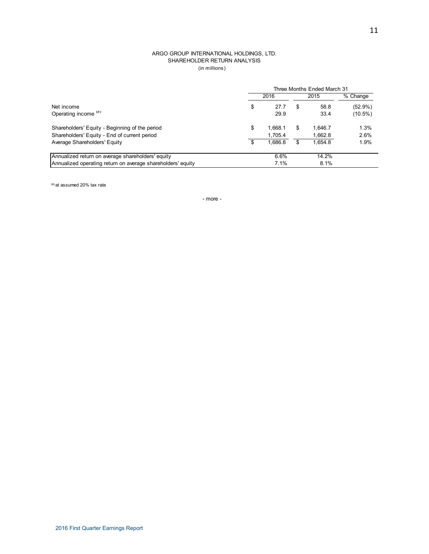#### ARGO GROUP INTERNATIONAL HOLDINGS, LTD. SHAREHOLDER RETURN ANALYSIS (in millions)

|                                                             | Three Months Ended March 31 |         |    |         |            |  |  |
|-------------------------------------------------------------|-----------------------------|---------|----|---------|------------|--|--|
|                                                             | 2016                        |         |    | 2015    | % Change   |  |  |
| Net income                                                  | \$                          | 27.7    | S  | 58.8    | $(52.9\%)$ |  |  |
| Operating income (a)                                        |                             | 29.9    |    | 33.4    | $(10.5\%)$ |  |  |
| Shareholders' Equity - Beginning of the period              | \$                          | 1.668.1 | S  | 1.646.7 | 1.3%       |  |  |
| Shareholders' Equity - End of current period                |                             | 1.705.4 |    | 1.662.8 | 2.6%       |  |  |
| Average Shareholders' Equity                                |                             | 1.686.8 | \$ | 1.654.8 | 1.9%       |  |  |
| Annualized return on average shareholders' equity           |                             | 6.6%    |    | 14.2%   |            |  |  |
| Annualized operating return on average shareholders' equity |                             | 7.1%    |    | 8.1%    |            |  |  |

(a) at assumed 20% tax rate